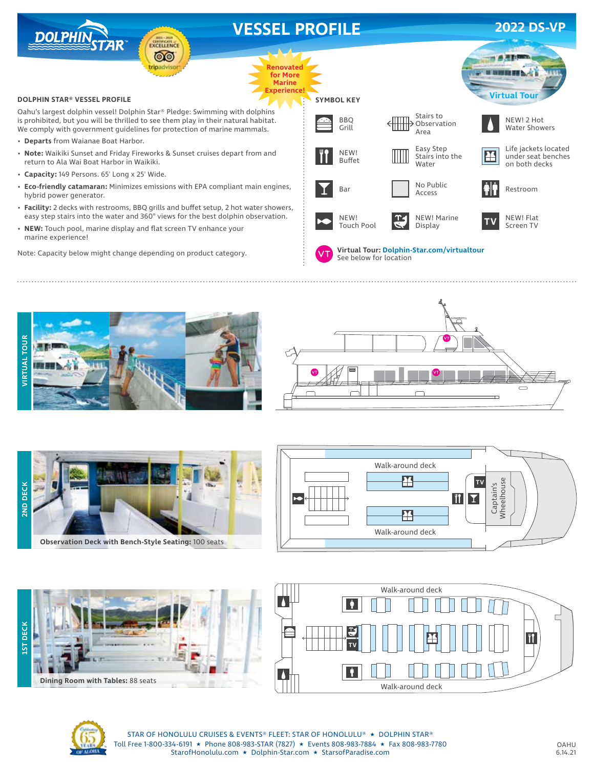







**Observation Deck with Bench-Style Seating:** 100 seats









STAR OF HONOLULU CRUISES & EVENTS® FLEET: STAR OF HONOLULU® ★ DOLPHIN STAR® Toll Free 1-800-334-6191 ★ Phone 808-983-STAR (7827) ★ Events 808-983-7884 ★ Fax 808-983-7780 StarofHonolulu.com ★ Dolphin-Star.com ★ StarsofParadise.com